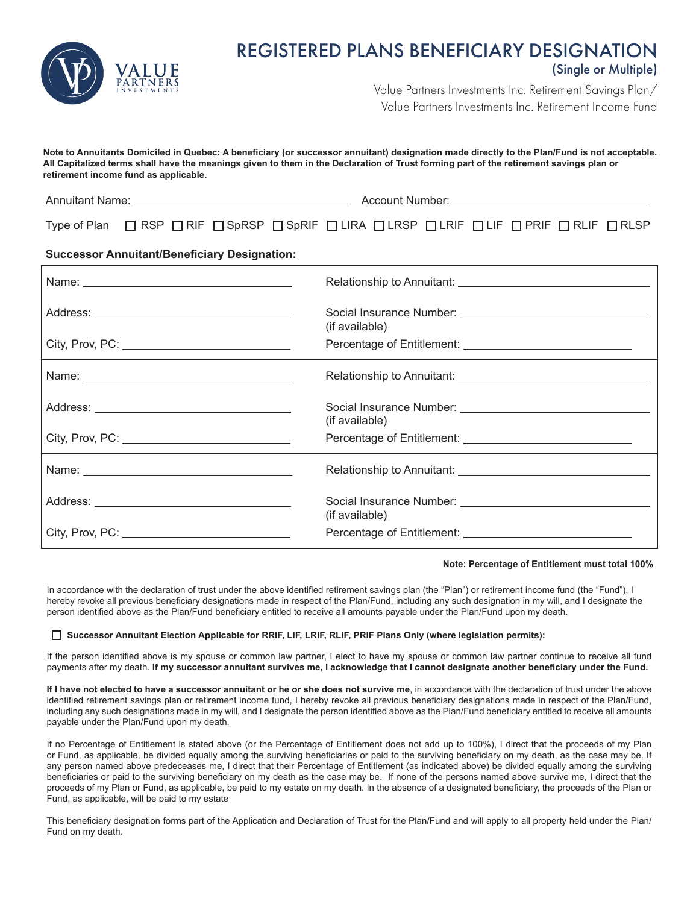

## REGISTERED PLANS BENEFICIARY DESIGNATION (Single or Multiple)

Value Partners Investments Inc. Retirement Savings Plan/ Value Partners Investments Inc. Retirement Income Fund

**Note to Annuitants Domiciled in Quebec: A beneficiary (or successor annuitant) designation made directly to the Plan/Fund is not acceptable. All Capitalized terms shall have the meanings given to them in the Declaration of Trust forming part of the retirement savings plan or retirement income fund as applicable.** 

| <b>Annuitant Name:</b> | Account Number: |  |
|------------------------|-----------------|--|
|                        |                 |  |

Type of Plan  $\Box$  RSP  $\Box$  RIF  $\Box$  SpRSP  $\Box$  SpRIF  $\Box$  LIRA  $\Box$  LRSP  $\Box$  LIF  $\Box$  PRIF  $\Box$  RLIF  $\Box$  RLSP

## **Successor Annuitant/Beneficiary Designation:**

| (if available) |
|----------------|
|                |
|                |
| (if available) |
|                |
|                |
| (if available) |
|                |

## **Note: Percentage of Entitlement must total 100%**

In accordance with the declaration of trust under the above identified retirement savings plan (the "Plan") or retirement income fund (the "Fund"), I hereby revoke all previous beneficiary designations made in respect of the Plan/Fund, including any such designation in my will, and I designate the person identified above as the Plan/Fund beneficiary entitled to receive all amounts payable under the Plan/Fund upon my death.

## **Successor Annuitant Election Applicable for RRIF, LIF, LRIF, RLIF, PRIF Plans Only (where legislation permits):**

If the person identified above is my spouse or common law partner, I elect to have my spouse or common law partner continue to receive all fund payments after my death. **If my successor annuitant survives me, I acknowledge that I cannot designate another beneficiary under the Fund.**

**If I have not elected to have a successor annuitant or he or she does not survive me**, in accordance with the declaration of trust under the above identified retirement savings plan or retirement income fund, I hereby revoke all previous beneficiary designations made in respect of the Plan/Fund, including any such designations made in my will, and I designate the person identified above as the Plan/Fund beneficiary entitled to receive all amounts payable under the Plan/Fund upon my death.

If no Percentage of Entitlement is stated above (or the Percentage of Entitlement does not add up to 100%), I direct that the proceeds of my Plan or Fund, as applicable, be divided equally among the surviving beneficiaries or paid to the surviving beneficiary on my death, as the case may be. If any person named above predeceases me, I direct that their Percentage of Entitlement (as indicated above) be divided equally among the surviving beneficiaries or paid to the surviving beneficiary on my death as the case may be. If none of the persons named above survive me, I direct that the proceeds of my Plan or Fund, as applicable, be paid to my estate on my death. In the absence of a designated beneficiary, the proceeds of the Plan or Fund, as applicable, will be paid to my estate

This beneficiary designation forms part of the Application and Declaration of Trust for the Plan/Fund and will apply to all property held under the Plan/ Fund on my death.